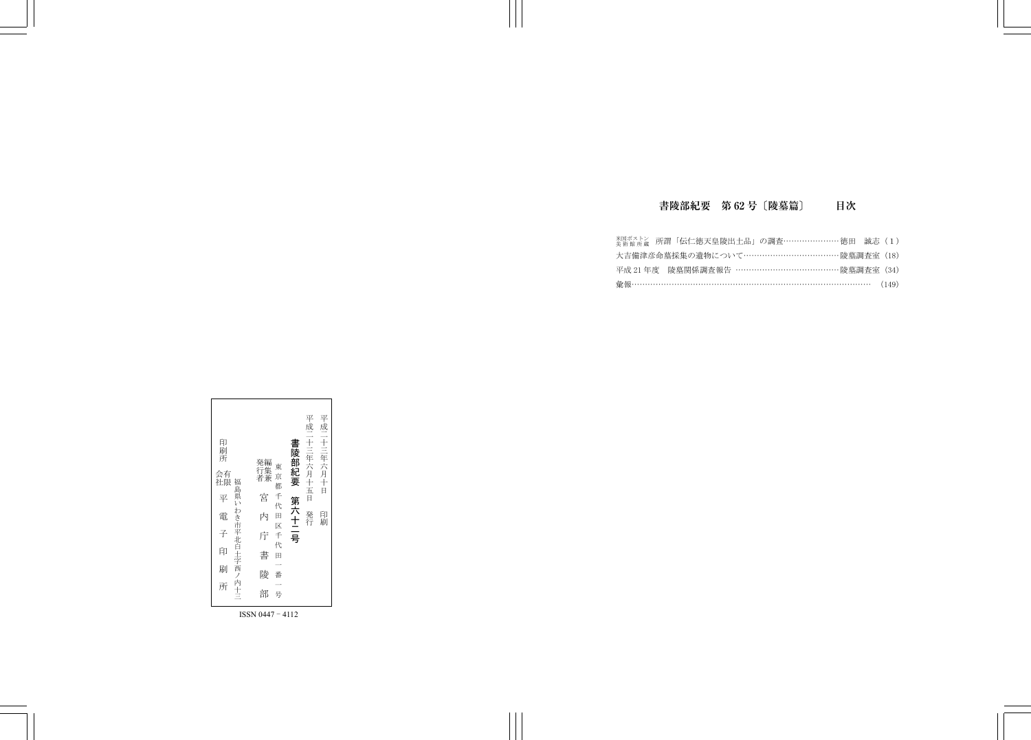

ISSN 0447 - 4112